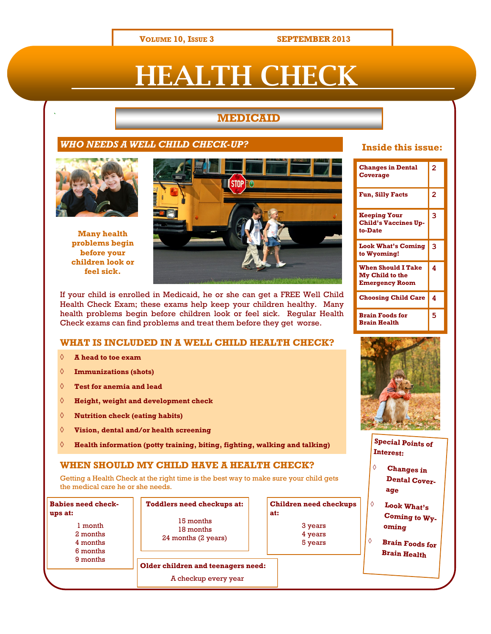**VOLUME 10, ISSUE 3 SEPTEMBER 2013**

# **EALTH CHECK**

## ` **MEDICAID**

#### *WHO NEEDS A WELL CHILD CHECK-UP?*



**Many health problems begin before your children look or feel sick.**



If your child is enrolled in Medicaid, he or she can get a FREE Well Child Health Check Exam; these exams help keep your children healthy. Many health problems begin before children look or feel sick. Regular Health Check exams can find problems and treat them before they get worse.

#### **WHAT IS INCLUDED IN A WELL CHILD HEALTH CHECK?**

- **A head to toe exam**
- **Immunizations (shots)**
- **Test for anemia and lead**
- **Height, weight and development check**
- **Nutrition check (eating habits)**
- **Vision, dental and/or health screening**
- **Health information (potty training, biting, fighting, walking and talking)**

#### **WHEN SHOULD MY CHILD HAVE A HEALTH CHECK?**

Getting a Health Check at the right time is the best way to make sure your child gets the medical care he or she needs.

| Babies need check-<br>ups at: |  |
|-------------------------------|--|
| 1 month                       |  |
| 2 months                      |  |
| 4 months                      |  |
| 6 months                      |  |
| 9 months                      |  |
|                               |  |

**Toddlers need checkups at:** 15 months 18 months 24 months (2 years)

**Older children and teenagers need:** A checkup every year

| <b>Children need checkups</b><br>at: |
|--------------------------------------|
| 3 years                              |
| 4 years                              |
| 5 years                              |
|                                      |

## **Inside this issue:**

| <b>Changes in Dental</b><br>Coverage                                         | $\overline{2}$ |
|------------------------------------------------------------------------------|----------------|
| <b>Fun, Silly Facts</b>                                                      | 2              |
| <b>Keeping Your</b><br><b>Child's Vaccines Up-</b><br>to-Date                | 3              |
| <b>Look What's Coming</b><br>to Wyoming!                                     | 3              |
| <b>When Should I Take</b><br><b>My Child to the</b><br><b>Emergency Room</b> | 4              |
| <b>Choosing Child Care</b>                                                   | 4              |
| <b>Brain Foods for</b><br><b>Brain Health</b>                                | 5              |



**Special Points of Interest:**

- **Changes in Dental Coverage**
- **Look What's Coming to Wyoming**
- **Brain Foods for Brain Health**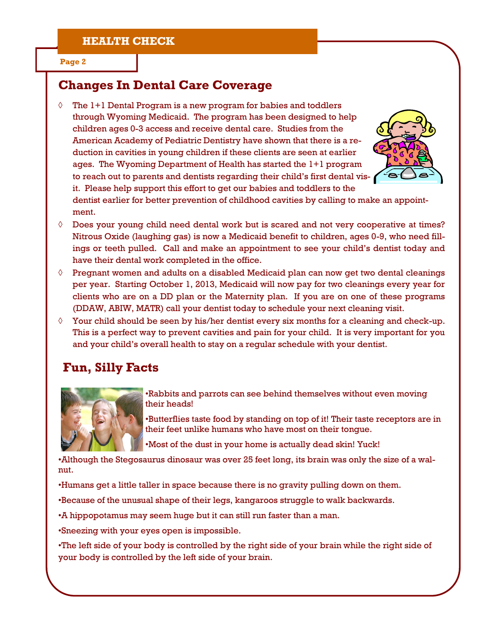#### **Page 2**

## **Changes In Dental Care Coverage**

 $\Diamond$  The  $l+1$  Dental Program is a new program for babies and toddlers through Wyoming Medicaid. The program has been designed to help children ages 0-3 access and receive dental care. Studies from the American Academy of Pediatric Dentistry have shown that there is a reduction in cavities in young children if these clients are seen at earlier ages. The Wyoming Department of Health has started the 1+1 program to reach out to parents and dentists regarding their child's first dental visit. Please help support this effort to get our babies and toddlers to the



dentist earlier for better prevention of childhood cavities by calling to make an appointment.

- $\Diamond$  Does your young child need dental work but is scared and not very cooperative at times? Nitrous Oxide (laughing gas) is now a Medicaid benefit to children, ages 0-9, who need fillings or teeth pulled. Call and make an appointment to see your child's dentist today and have their dental work completed in the office.
- $\Diamond$  Pregnant women and adults on a disabled Medicaid plan can now get two dental cleanings per year. Starting October 1, 2013, Medicaid will now pay for two cleanings every year for clients who are on a DD plan or the Maternity plan. If you are on one of these programs (DDAW, ABIW, MATR) call your dentist today to schedule your next cleaning visit.
- $\Diamond$  Your child should be seen by his/her dentist every six months for a cleaning and check-up. This is a perfect way to prevent cavities and pain for your child. It is very important for you and your child's overall health to stay on a regular schedule with your dentist.

## **Fun, Silly Facts**



•Rabbits and parrots can see behind themselves without even moving their heads!

•Butterflies taste food by standing on top of it! Their taste receptors are in their feet unlike humans who have most on their tongue.

•Most of the dust in your home is actually dead skin! Yuck!

•Although the Stegosaurus dinosaur was over 25 feet long, its brain was only the size of a walnut.

•Humans get a little taller in space because there is no gravity pulling down on them.

•Because of the unusual shape of their legs, kangaroos struggle to walk backwards.

•A hippopotamus may seem huge but it can still run faster than a man.

•Sneezing with your eyes open is impossible.

•The left side of your body is controlled by the right side of your brain while the right side of your body is controlled by the left side of your brain.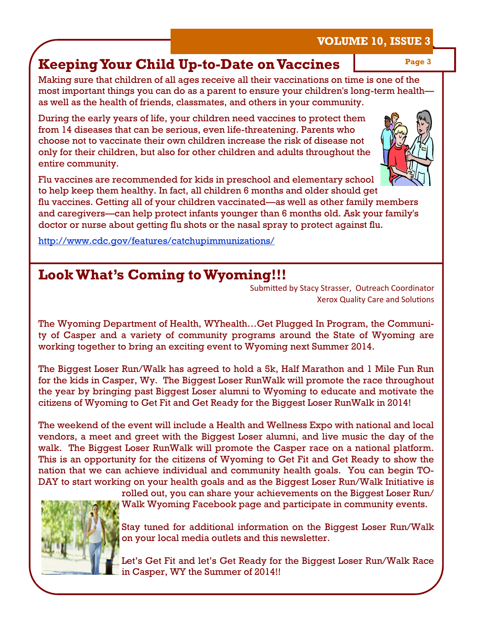# **Keeping Your Child Up-to-Date on Vaccines**

Making sure that children of all ages receive all their vaccinations on time is one of the most important things you can do as a parent to ensure your children's long-term health as well as the health of friends, classmates, and others in your community.

During the early years of life, your children need vaccines to protect them from 14 diseases that can be serious, even life-threatening. Parents who choose not to vaccinate their own children increase the risk of disease not only for their children, but also for other children and adults throughout the entire community.

Flu vaccines are recommended for kids in preschool and elementary school to help keep them healthy. In fact, all children 6 months and older should get

flu vaccines. Getting all of your children vaccinated—as well as other family members and caregivers—can help protect infants younger than 6 months old. Ask your family's doctor or nurse about getting flu shots or the nasal spray to protect against flu.

<http://www.cdc.gov/features/catchupimmunizations/>

# **Look What's Coming to Wyoming!!!**

Submitted by Stacy Strasser, Outreach Coordinator Xerox Quality Care and Solutions

The Wyoming Department of Health, WYhealth…Get Plugged In Program, the Community of Casper and a variety of community programs around the State of Wyoming are working together to bring an exciting event to Wyoming next Summer 2014.

The Biggest Loser Run/Walk has agreed to hold a 5k, Half Marathon and 1 Mile Fun Run for the kids in Casper, Wy. The Biggest Loser RunWalk will promote the race throughout the year by bringing past Biggest Loser alumni to Wyoming to educate and motivate the citizens of Wyoming to Get Fit and Get Ready for the Biggest Loser RunWalk in 2014!

The weekend of the event will include a Health and Wellness Expo with national and local vendors, a meet and greet with the Biggest Loser alumni, and live music the day of the walk. The Biggest Loser RunWalk will promote the Casper race on a national platform. This is an opportunity for the citizens of Wyoming to Get Fit and Get Ready to show the nation that we can achieve individual and community health goals. You can begin TO-DAY to start working on your health goals and as the Biggest Loser Run/Walk Initiative is

rolled out, you can share your achievements on the Biggest Loser Run/ Walk Wyoming Facebook page and participate in community events.

Stay tuned for additional information on the Biggest Loser Run/Walk on your local media outlets and this newsletter.

Let's Get Fit and let's Get Ready for the Biggest Loser Run/Walk Race in Casper, WY the Summer of 2014!!



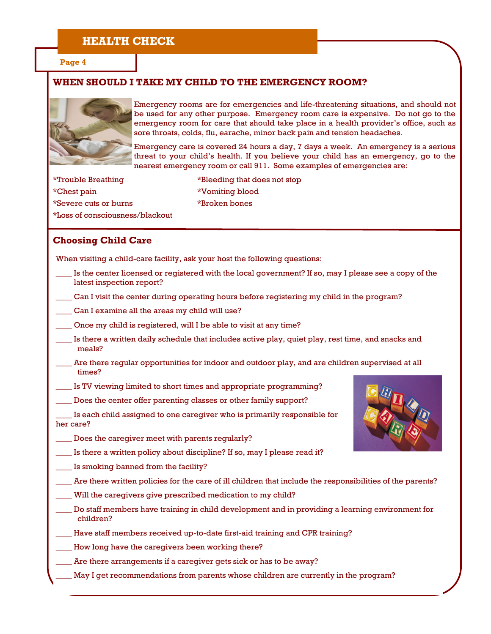## **HEALTH CHECK**

**Page 4**

#### **WHEN SHOULD I TAKE MY CHILD TO THE EMERGENCY ROOM?**



Emergency rooms are for emergencies and life-threatening situations, and should not be used for any other purpose. Emergency room care is expensive. Do not go to the emergency room for care that should take place in a health provider's office, such as sore throats, colds, flu, earache, minor back pain and tension headaches.

Emergency care is covered 24 hours a day, 7 days a week. An emergency is a serious threat to your child's health. If you believe your child has an emergency, go to the nearest emergency room or call 911. Some examples of emergencies are:

\*Trouble Breathing \*Bleeding that does not stop \*Chest pain \*Vomiting blood \*Severe cuts or burns \*Broken bones \*Loss of consciousness/blackout

#### **Choosing Child Care**

When visiting a child-care facility, ask your host the following questions:

- Is the center licensed or registered with the local government? If so, may I please see a copy of the latest inspection report?
- \_\_\_\_ Can I visit the center during operating hours before registering my child in the program?
- Can I examine all the areas my child will use?
- Once my child is registered, will I be able to visit at any time?
- \_\_\_\_ Is there a written daily schedule that includes active play, quiet play, rest time, and snacks and meals?
- Are there regular opportunities for indoor and outdoor play, and are children supervised at all times?
- \_\_\_\_ Is TV viewing limited to short times and appropriate programming?
- Does the center offer parenting classes or other family support?

\_\_\_\_ Is each child assigned to one caregiver who is primarily responsible for her care?

- Does the caregiver meet with parents regularly?
- Is there a written policy about discipline? If so, may I please read it?
- \_\_\_\_ Is smoking banned from the facility?
- \_\_\_\_ Are there written policies for the care of ill children that include the responsibilities of the parents?
- Will the caregivers give prescribed medication to my child?
- Do staff members have training in child development and in providing a learning environment for children?
- \_\_\_\_ Have staff members received up-to-date first-aid training and CPR training?
- How long have the caregivers been working there?
- Are there arrangements if a caregiver gets sick or has to be away?
- May I get recommendations from parents whose children are currently in the program?

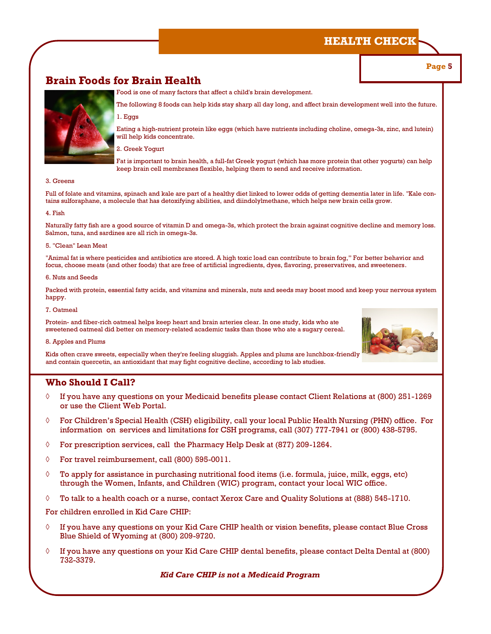## **HEALTH CHECK**

#### **Page 5**

## **Brain Foods for Brain Health**

Food is one of many factors that affect a child's brain development.



The following 8 foods can help kids stay sharp all day long, and affect brain development well into the future. 1. Eggs

Eating a high-nutrient protein like eggs (which have nutrients including choline, omega-3s, zinc, and lutein) will help kids concentrate.

2. Greek Yogurt

Fat is important to brain health, a full-fat Greek yogurt (which has more protein that other yogurts) can help keep brain cell membranes flexible, helping them to send and receive information.

#### 3. Greens

Full of folate and vitamins, spinach and kale are part of a healthy diet linked to lower odds of getting dementia later in life. "Kale contains sulforaphane, a molecule that has detoxifying abilities, and diindolylmethane, which helps new brain cells grow.

#### 4. Fish

Naturally fatty fish are a good source of vitamin D and omega-3s, which protect the brain against cognitive decline and memory loss. Salmon, tuna, and sardines are all rich in omega-3s.

#### 5. "Clean" Lean Meat

"Animal fat is where pesticides and antibiotics are stored. A high toxic load can contribute to brain fog," For better behavior and focus, choose meats (and other foods) that are free of artificial ingredients, dyes, flavoring, preservatives, and sweeteners.

#### 6. Nuts and Seeds

Packed with protein, essential fatty acids, and vitamins and minerals, nuts and seeds may boost mood and keep your nervous system happy.

#### 7. Oatmeal

Protein- and fiber-rich oatmeal helps keep heart and brain arteries clear. In one study, kids who ate sweetened oatmeal did better on memory-related academic tasks than those who ate a sugary cereal.

#### 8. Apples and Plums

Kids often crave sweets, especially when they're feeling sluggish. Apples and plums are lunchbox-friendly and contain quercetin, an antioxidant that may fight cognitive decline, according to lab studies.

#### **Who Should I Call?**

- $\Diamond$  If you have any questions on your Medicaid benefits please contact Client Relations at (800) 251-1269 or use the Client Web Portal.
- $\Diamond$  For Children's Special Health (CSH) eligibility, call your local Public Health Nursing (PHN) office. For information on services and limitations for CSH programs, call (307) 777-7941 or (800) 438-5795.
- $\Diamond$  For prescription services, call the Pharmacy Help Desk at (877) 209-1264.
- $\lozenge$  For travel reimbursement, call (800) 595-0011.
- $\Diamond$  To apply for assistance in purchasing nutritional food items (i.e. formula, juice, milk, eggs, etc) through the Women, Infants, and Children (WIC) program, contact your local WIC office.
- $\Diamond$  To talk to a health coach or a nurse, contact Xerox Care and Quality Solutions at (888) 545-1710.

For children enrolled in Kid Care CHIP:

- $\Diamond$  If you have any questions on your Kid Care CHIP health or vision benefits, please contact Blue Cross Blue Shield of Wyoming at (800) 209-9720.
- $\Diamond$  If you have any questions on your Kid Care CHIP dental benefits, please contact Delta Dental at (800) 732-3379.

*Kid Care CHIP is not a Medicaid Program*